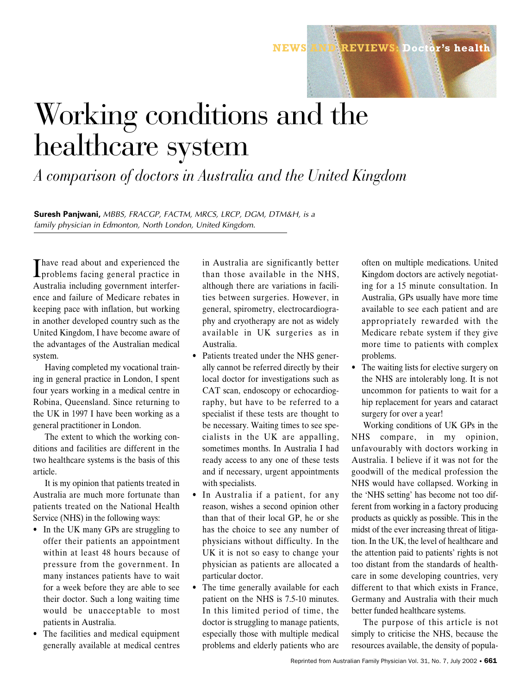Reprinted from Australian Family Physician Vol. 31, No. 7, July 2002 • 661

## Working conditions and the healthcare system

*A comparison of doctors in Australia and the United Kingdom*

**Suresh Panjwani,** *MBBS, FRACGP, FACTM, MRCS, LRCP, DGM, DTM&H, is a family physician in Edmonton, North London, United Kingdom.*

I have read about and experienced the<br>problems facing general practice in Thave read about and experienced the Australia including government interference and failure of Medicare rebates in keeping pace with inflation, but working in another developed country such as the United Kingdom, I have become aware of the advantages of the Australian medical system.

Having completed my vocational training in general practice in London, I spent four years working in a medical centre in Robina, Queensland. Since returning to the UK in 1997 I have been working as a general practitioner in London.

The extent to which the working conditions and facilities are different in the two healthcare systems is the basis of this article.

It is my opinion that patients treated in Australia are much more fortunate than patients treated on the National Health Service (NHS) in the following ways:

- In the UK many GPs are struggling to offer their patients an appointment within at least 48 hours because of pressure from the government. In many instances patients have to wait for a week before they are able to see their doctor. Such a long waiting time would be unacceptable to most patients in Australia.
- The facilities and medical equipment generally available at medical centres

in Australia are significantly better than those available in the NHS, although there are variations in facilities between surgeries. However, in general, spirometry, electrocardiography and cryotherapy are not as widely available in UK surgeries as in Australia.

- Patients treated under the NHS generally cannot be referred directly by their local doctor for investigations such as CAT scan, endoscopy or echocardiography, but have to be referred to a specialist if these tests are thought to be necessary. Waiting times to see specialists in the UK are appalling, sometimes months. In Australia I had ready access to any one of these tests and if necessary, urgent appointments with specialists.
- In Australia if a patient, for any reason, wishes a second opinion other than that of their local GP, he or she has the choice to see any number of physicians without difficulty. In the UK it is not so easy to change your physician as patients are allocated a particular doctor.
- The time generally available for each patient on the NHS is 7.5-10 minutes. In this limited period of time, the doctor is struggling to manage patients, especially those with multiple medical problems and elderly patients who are

often on multiple medications. United Kingdom doctors are actively negotiating for a 15 minute consultation. In Australia, GPs usually have more time available to see each patient and are appropriately rewarded with the Medicare rebate system if they give more time to patients with complex problems.

**NEWS AND REVIEWS: Doctor's health**

The waiting lists for elective surgery on the NHS are intolerably long. It is not uncommon for patients to wait for a hip replacement for years and cataract surgery for over a year!

Working conditions of UK GPs in the NHS compare, in my opinion, unfavourably with doctors working in Australia. I believe if it was not for the goodwill of the medical profession the NHS would have collapsed. Working in the 'NHS setting' has become not too different from working in a factory producing products as quickly as possible. This in the midst of the ever increasing threat of litigation. In the UK, the level of healthcare and the attention paid to patients' rights is not too distant from the standards of healthcare in some developing countries, very different to that which exists in France, Germany and Australia with their much better funded healthcare systems.

The purpose of this article is not simply to criticise the NHS, because the resources available, the density of popula